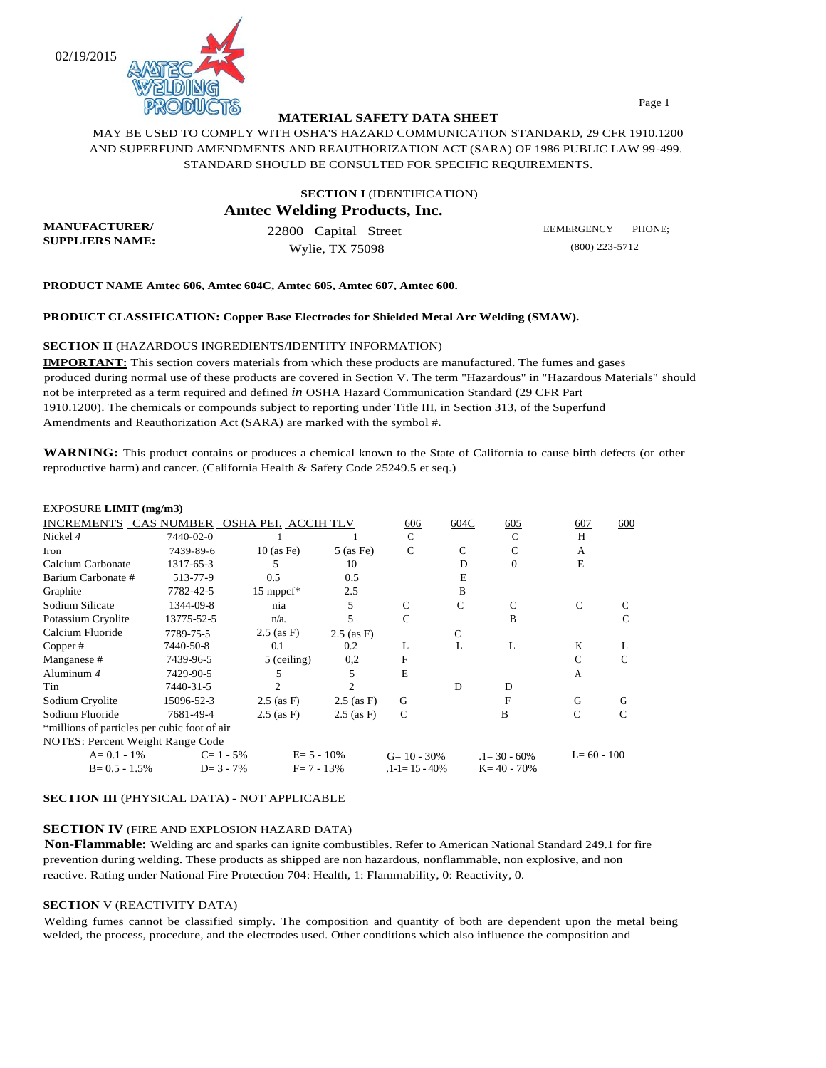02/19/2015



# **MATERIAL SAFETY DATA SHEET**

MAY BE USED TO COMPLY WITH OSHA'S HAZARD COMMUNICATION STANDARD, 29 CFR 1910.1200 AND SUPERFUND AMENDMENTS AND REAUTHORIZATION ACT (SARA) OF 1986 PUBLIC LAW 99-499. STANDARD SHOULD BE CONSULTED FOR SPECIFIC REQUIREMENTS.

# **SECTION I** (IDENTIFICATION) **Amtec Welding Products, Inc.**

**MANUFACTURER/ SUPPLIERS NAME:**

22800 Capital Street Wylie, TX 75098

EEMERGENCY PHONE; (800) 223-5712

**PRODUCT NAME Amtec 606, Amtec 604C, Amtec 605, Amtec 607, Amtec 600.** 

#### **PRODUCT CLASSIFICATION: Copper Base Electrodes for Shielded Metal Arc Welding (SMAW).**

#### **SECTION II** (HAZARDOUS INGREDIENTS/IDENTITY INFORMATION)

**IMPORTANT:** This section covers materials from which these products are manufactured. The fumes and gases produced during normal use of these products are covered in Section V. The term "Hazardous" in "Hazardous Materials" should not be interpreted as a term required and defined *in* OSHA Hazard Communication Standard (29 CFR Part 1910.1200). The chemicals or compounds subject to reporting under Title III, in Section 313, of the Superfund Amendments and Reauthorization Act (SARA) are marked with the symbol #.

**WARNING:** This product contains or produces a chemical known to the State of California to cause birth defects (or other reproductive harm) and cancer. (California Health & Safety Code 25249.5 et seq.)

### EXPOSURE **LIMIT (mg/m3)**

| INCREMENTS CAS NUMBER                        |            | OSHA PEI. ACCIH TLV     |                | 606                  | 604C | 605              | 607            | 600 |
|----------------------------------------------|------------|-------------------------|----------------|----------------------|------|------------------|----------------|-----|
| Nickel 4                                     | 7440-02-0  |                         |                | $\mathbf C$          |      | $\mathbf C$      | H              |     |
| Iron                                         | 7439-89-6  | $10$ (as Fe)            | $5$ (as Fe)    | $\mathsf{C}$         | C    | C                | A              |     |
| Calcium Carbonate                            | 1317-65-3  | 5                       | 10             |                      | D    | $\Omega$         | E              |     |
| Barium Carbonate #                           | 513-77-9   | 0.5                     | 0.5            |                      | E    |                  |                |     |
| Graphite                                     | 7782-42-5  | $15$ mppcf <sup>*</sup> | 2.5            |                      | B    |                  |                |     |
| Sodium Silicate                              | 1344-09-8  | nia                     | 5              | C                    | C    | C                | C              |     |
| Potassium Cryolite                           | 13775-52-5 | $n/a$ .                 | 5              | $\mathsf{C}$         |      | B                |                | C   |
| Calcium Fluoride                             | 7789-75-5  | $2.5$ (as F)            | $2.5$ (as F)   |                      | С    |                  |                |     |
| Copper#                                      | 7440-50-8  | 0.1                     | 0.2            | L                    | L    | L                | K              |     |
| Manganese #                                  | 7439-96-5  | 5 (ceiling)             | 0,2            | F                    |      |                  |                | C   |
| Aluminum $4$                                 | 7429-90-5  |                         | 5              | E                    |      |                  | A              |     |
| Tin                                          | 7440-31-5  | 2                       | 2              |                      | D    | D                |                |     |
| Sodium Cryolite                              | 15096-52-3 | $2.5$ (as F)            | $2.5$ (as F)   | G                    |      | F                | G              | G   |
| Sodium Fluoride                              | 7681-49-4  | $2.5$ (as F)            | $2.5$ (as F)   | C                    |      | B                | С              | C   |
| *millions of particles per cubic foot of air |            |                         |                |                      |      |                  |                |     |
| NOTES: Percent Weight Range Code             |            |                         |                |                      |      |                  |                |     |
| $A = 0.1 - 1\%$                              |            | $C = 1 - 5\%$           | $E = 5 - 10\%$ | $G = 10 - 30\%$      |      | $.1 = 30 - 60\%$ | $L = 60 - 100$ |     |
| $B = 0.5 - 1.5\%$                            |            | $D = 3 - 7\%$           | $F = 7 - 13%$  | $.1 - 1 = 15 - 40\%$ |      | $K = 40 - 70%$   |                |     |
|                                              |            |                         |                |                      |      |                  |                |     |

**SECTION III** (PHYSICAL DATA) - NOT APPLICABLE

#### **SECTION IV** (FIRE AND EXPLOSION HAZARD DATA)

**Non-Flammable:** Welding arc and sparks can ignite combustibles. Refer to American National Standard 249.1 for fire prevention during welding. These products as shipped are non hazardous, nonflammable, non explosive, and non reactive. Rating under National Fire Protection 704: Health, 1: Flammability, 0: Reactivity, 0.

#### **SECTION** V (REACTIVITY DATA)

Welding fumes cannot be classified simply. The composition and quantity of both are dependent upon the metal being welded, the process, procedure, and the electrodes used. Other conditions which also influence the composition and

Page 1